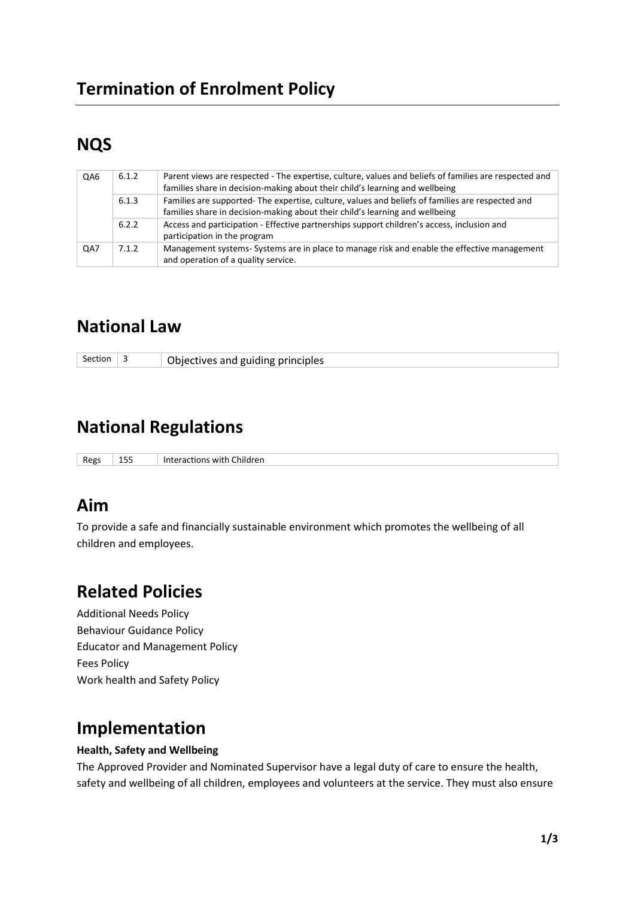# **Termination of Enrolment Policy**

# **NQS**

| QA6 | 6.1.2 | Parent views are respected - The expertise, culture, values and beliefs of families are respected and |
|-----|-------|-------------------------------------------------------------------------------------------------------|
|     |       | families share in decision-making about their child's learning and wellbeing                          |
|     | 6.1.3 | Families are supported-The expertise, culture, values and beliefs of families are respected and       |
|     |       | families share in decision-making about their child's learning and wellbeing                          |
|     | 6.2.2 | Access and participation - Effective partnerships support children's access, inclusion and            |
|     |       | participation in the program                                                                          |
| QA7 | 7.1.2 | Management systems- Systems are in place to manage risk and enable the effective management           |
|     |       | and operation of a quality service.                                                                   |

### **National Law**

| Section |  | Objectives and guiding principles |
|---------|--|-----------------------------------|
|---------|--|-----------------------------------|

# **National Regulations**

Regs 155 Interactions with Children

## **Aim**

To provide a safe and financially sustainable environment which promotes the wellbeing of all children and employees.

# **Related Policies**

Additional Needs Policy Behaviour Guidance Policy Educator and Management Policy Fees Policy Work health and Safety Policy

## **Implementation**

### **Health, Safety and Wellbeing**

The Approved Provider and Nominated Supervisor have a legal duty of care to ensure the health, safety and wellbeing of all children, employees and volunteers at the service. They must also ensure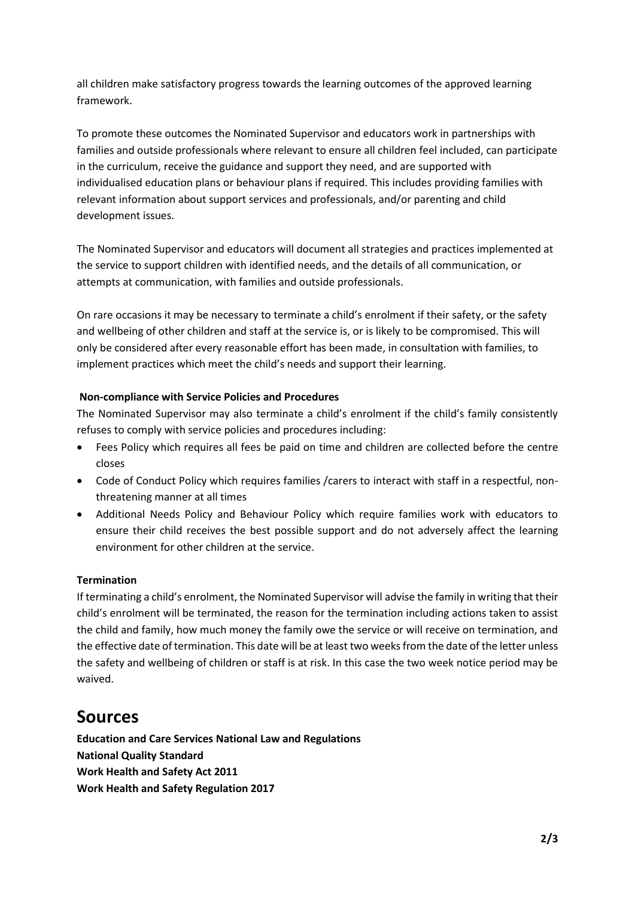all children make satisfactory progress towards the learning outcomes of the approved learning framework.

To promote these outcomes the Nominated Supervisor and educators work in partnerships with families and outside professionals where relevant to ensure all children feel included, can participate in the curriculum, receive the guidance and support they need, and are supported with individualised education plans or behaviour plans if required. This includes providing families with relevant information about support services and professionals, and/or parenting and child development issues.

The Nominated Supervisor and educators will document all strategies and practices implemented at the service to support children with identified needs, and the details of all communication, or attempts at communication, with families and outside professionals.

On rare occasions it may be necessary to terminate a child's enrolment if their safety, or the safety and wellbeing of other children and staff at the service is, or is likely to be compromised. This will only be considered after every reasonable effort has been made, in consultation with families, to implement practices which meet the child's needs and support their learning.

### **Non-compliance with Service Policies and Procedures**

The Nominated Supervisor may also terminate a child's enrolment if the child's family consistently refuses to comply with service policies and procedures including:

- Fees Policy which requires all fees be paid on time and children are collected before the centre closes
- Code of Conduct Policy which requires families / carers to interact with staff in a respectful, nonthreatening manner at all times
- Additional Needs Policy and Behaviour Policy which require families work with educators to ensure their child receives the best possible support and do not adversely affect the learning environment for other children at the service.

#### **Termination**

If terminating a child's enrolment, the Nominated Supervisor will advise the family in writing that their child's enrolment will be terminated, the reason for the termination including actions taken to assist the child and family, how much money the family owe the service or will receive on termination, and the effective date of termination. This date will be at least two weeks from the date of the letter unless the safety and wellbeing of children or staff is at risk. In this case the two week notice period may be waived.

### **Sources**

**Education and Care Services National Law and Regulations National Quality Standard Work Health and Safety Act 2011 Work Health and Safety Regulation 2017**